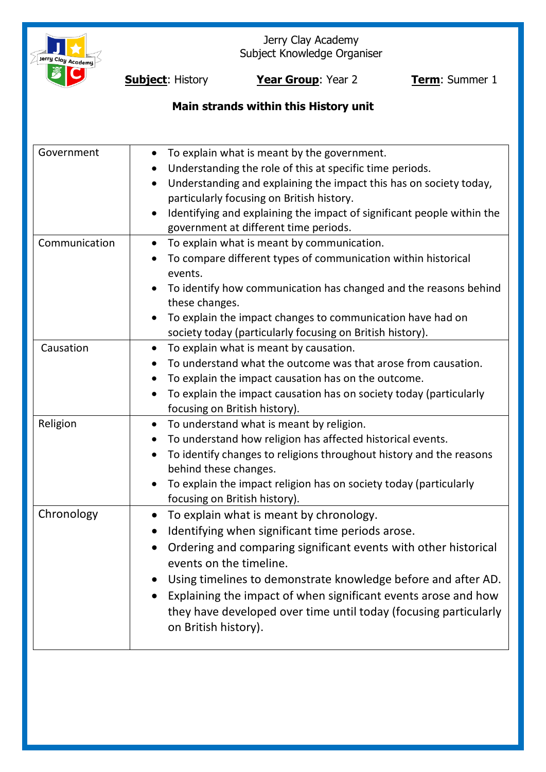

Jerry Clay Academy Subject Knowledge Organiser

**Subject**: History **Year Group**: Year 2 **Term**: Summer 1

# **Main strands within this History unit**

| Government    | To explain what is meant by the government.<br>$\bullet$<br>Understanding the role of this at specific time periods.<br>Understanding and explaining the impact this has on society today,<br>$\bullet$<br>particularly focusing on British history.<br>Identifying and explaining the impact of significant people within the<br>government at different time periods.                                                               |
|---------------|---------------------------------------------------------------------------------------------------------------------------------------------------------------------------------------------------------------------------------------------------------------------------------------------------------------------------------------------------------------------------------------------------------------------------------------|
| Communication | To explain what is meant by communication.<br>$\bullet$<br>To compare different types of communication within historical<br>events.<br>To identify how communication has changed and the reasons behind<br>these changes.<br>To explain the impact changes to communication have had on<br>society today (particularly focusing on British history).                                                                                  |
| Causation     | To explain what is meant by causation.<br>$\bullet$<br>To understand what the outcome was that arose from causation.<br>To explain the impact causation has on the outcome.<br>To explain the impact causation has on society today (particularly<br>focusing on British history).                                                                                                                                                    |
| Religion      | To understand what is meant by religion.<br>$\bullet$<br>To understand how religion has affected historical events.<br>To identify changes to religions throughout history and the reasons<br>behind these changes.<br>To explain the impact religion has on society today (particularly<br>focusing on British history).                                                                                                             |
| Chronology    | To explain what is meant by chronology.<br>$\bullet$<br>Identifying when significant time periods arose.<br>Ordering and comparing significant events with other historical<br>events on the timeline.<br>Using timelines to demonstrate knowledge before and after AD.<br>Explaining the impact of when significant events arose and how<br>they have developed over time until today (focusing particularly<br>on British history). |